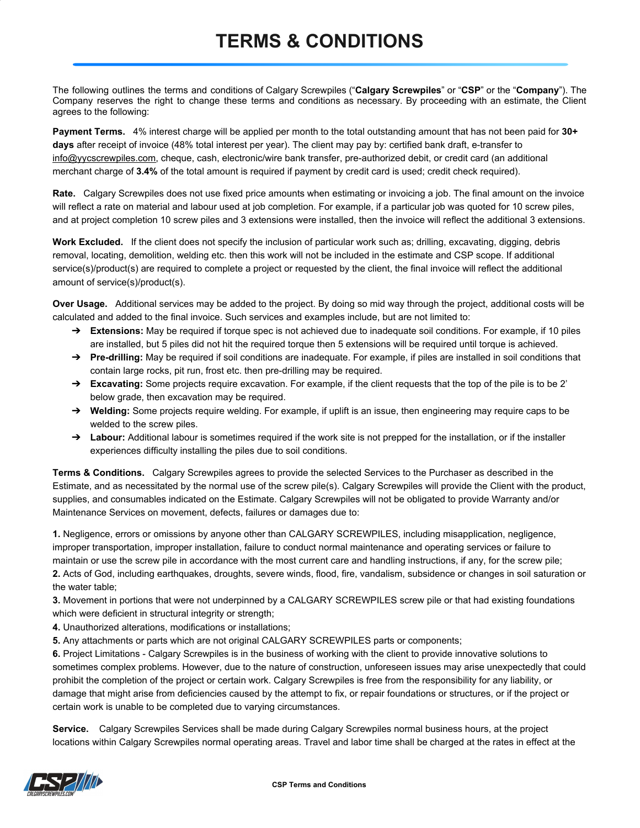## **TERMS & CONDITIONS**

The following outlines the terms and conditions of Calgary Screwpiles ("**Calgary Screwpiles**" or "**CSP**" or the "**Company**"). The Company reserves the right to change these terms and conditions as necessary. By proceeding with an estimate, the Client agrees to the following:

**Payment Terms.** 4% interest charge will be applied per month to the total outstanding amount that has not been paid for **30+ days** after receipt of invoice (48% total interest per year). The client may pay by: certified bank draft, e-transfer to info@yycscrewpiles.com, cheque, cash, electronic/wire bank transfer, pre-authorized debit, or credit card (an additional merchant charge of **3.4%** of the total amount is required if payment by credit card is used; credit check required).

**Rate.** Calgary Screwpiles does not use fixed price amounts when estimating or invoicing a job. The final amount on the invoice will reflect a rate on material and labour used at job completion. For example, if a particular job was quoted for 10 screw piles, and at project completion 10 screw piles and 3 extensions were installed, then the invoice will reflect the additional 3 extensions.

**Work Excluded.** If the client does not specify the inclusion of particular work such as; drilling, excavating, digging, debris removal, locating, demolition, welding etc. then this work will not be included in the estimate and CSP scope. If additional service(s)/product(s) are required to complete a project or requested by the client, the final invoice will reflect the additional amount of service(s)/product(s).

**Over Usage.** Additional services may be added to the project. By doing so mid way through the project, additional costs will be calculated and added to the final invoice. Such services and examples include, but are not limited to:

- ➔ **Extensions:** May be required if torque spec is not achieved due to inadequate soil conditions. For example, if 10 piles are installed, but 5 piles did not hit the required torque then 5 extensions will be required until torque is achieved.
- ➔ **Pre-drilling:** May be required if soil conditions are inadequate. For example, if piles are installed in soil conditions that contain large rocks, pit run, frost etc. then pre-drilling may be required.
- ➔ **Excavating:** Some projects require excavation. For example, if the client requests that the top of the pile is to be 2' below grade, then excavation may be required.
- ➔ **Welding:** Some projects require welding. For example, if uplift is an issue, then engineering may require caps to be welded to the screw piles.
- → Labour: Additional labour is sometimes required if the work site is not prepped for the installation, or if the installer experiences difficulty installing the piles due to soil conditions.

**Terms & Conditions.** Calgary Screwpiles agrees to provide the selected Services to the Purchaser as described in the Estimate, and as necessitated by the normal use of the screw pile(s). Calgary Screwpiles will provide the Client with the product, supplies, and consumables indicated on the Estimate. Calgary Screwpiles will not be obligated to provide Warranty and/or Maintenance Services on movement, defects, failures or damages due to:

**1.** Negligence, errors or omissions by anyone other than CALGARY SCREWPILES, including misapplication, negligence, improper transportation, improper installation, failure to conduct normal maintenance and operating services or failure to maintain or use the screw pile in accordance with the most current care and handling instructions, if any, for the screw pile; **2.** Acts of God, including earthquakes, droughts, severe winds, flood, fire, vandalism, subsidence or changes in soil saturation or the water table;

**3.** Movement in portions that were not underpinned by a CALGARY SCREWPILES screw pile or that had existing foundations which were deficient in structural integrity or strength;

**4.** Unauthorized alterations, modifications or installations;

**5.** Any attachments or parts which are not original CALGARY SCREWPILES parts or components;

**6.** Project Limitations - Calgary Screwpiles is in the business of working with the client to provide innovative solutions to sometimes complex problems. However, due to the nature of construction, unforeseen issues may arise unexpectedly that could prohibit the completion of the project or certain work. Calgary Screwpiles is free from the responsibility for any liability, or damage that might arise from deficiencies caused by the attempt to fix, or repair foundations or structures, or if the project or certain work is unable to be completed due to varying circumstances.

**Service.** Calgary Screwpiles Services shall be made during Calgary Screwpiles normal business hours, at the project locations within Calgary Screwpiles normal operating areas. Travel and labor time shall be charged at the rates in effect at the